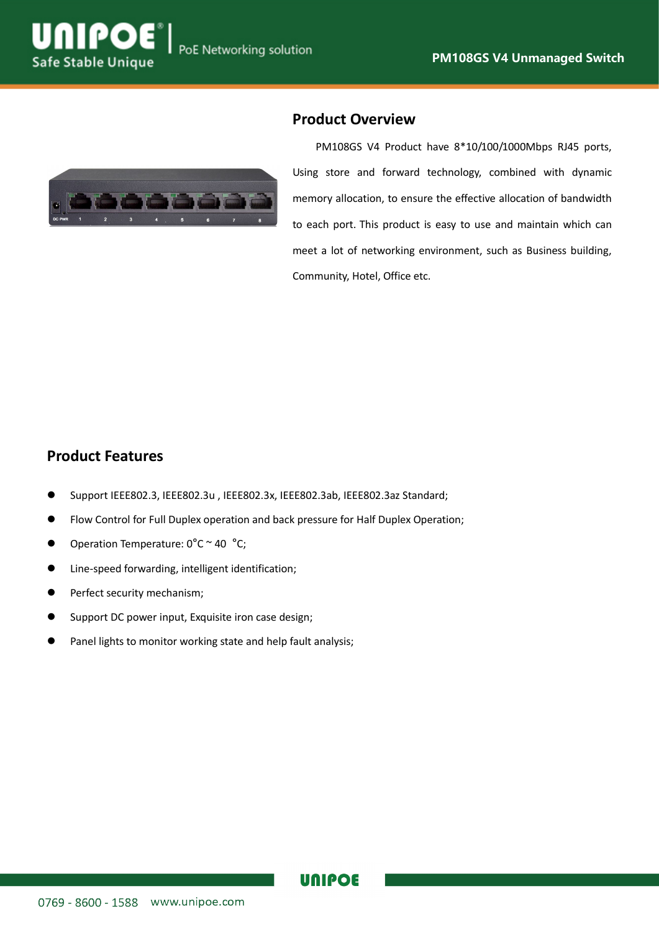



#### **Product Overview**

PM108GS V4 Product have 8\*10/100/1000Mbps RJ45 ports, Using store and forward technology, combined with dynamic memory allocation, to ensure the effective allocation of bandwidth to each port. This product is easy to use and maintain which can meet a lot of networking environment, such as Business building, Community, Hotel, Office etc.

#### **Product Features**

- Support IEEE802.3, IEEE802.3u , IEEE802.3x, IEEE802.3ab, IEEE802.3az Standard;
- Flow Control for Full Duplex operation and back pressure for Half Duplex Operation;
- $\bullet$  Operation Temperature:  $0^{\circ}$ C ~ 40  $^{\circ}$ C;
- Line-speed forwarding, intelligent identification;
- **•** Perfect security mechanism;
- Support DC power input, Exquisite iron case design;
- Panel lights to monitor working state and help fault analysis;

### **UNIPOE**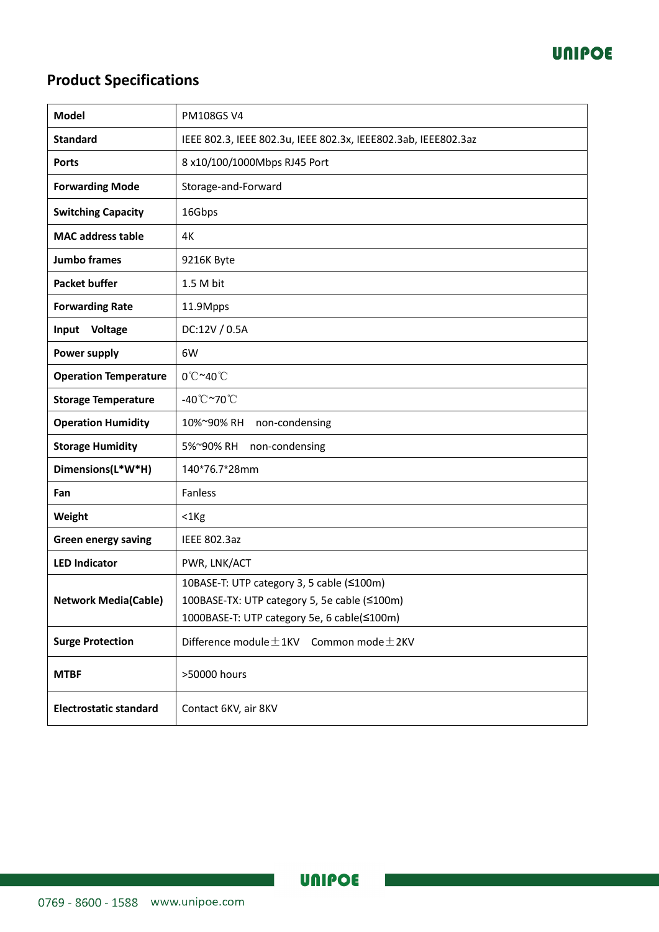

# **Product Specifications**

| <b>Model</b>                  | <b>PM108GSV4</b>                                                                                                                         |
|-------------------------------|------------------------------------------------------------------------------------------------------------------------------------------|
| <b>Standard</b>               | IEEE 802.3, IEEE 802.3u, IEEE 802.3x, IEEE802.3ab, IEEE802.3az                                                                           |
| <b>Ports</b>                  | 8 x10/100/1000Mbps RJ45 Port                                                                                                             |
| <b>Forwarding Mode</b>        | Storage-and-Forward                                                                                                                      |
| <b>Switching Capacity</b>     | 16Gbps                                                                                                                                   |
| <b>MAC address table</b>      | 4K                                                                                                                                       |
| <b>Jumbo frames</b>           | 9216K Byte                                                                                                                               |
| <b>Packet buffer</b>          | 1.5 M bit                                                                                                                                |
| <b>Forwarding Rate</b>        | 11.9Mpps                                                                                                                                 |
| Input<br>Voltage              | DC:12V / 0.5A                                                                                                                            |
| <b>Power supply</b>           | 6W                                                                                                                                       |
| <b>Operation Temperature</b>  | 0°C~40°C                                                                                                                                 |
| <b>Storage Temperature</b>    | -40°C~70°C                                                                                                                               |
| <b>Operation Humidity</b>     | 10%~90% RH<br>non-condensing                                                                                                             |
| <b>Storage Humidity</b>       | 5%~90% RH<br>non-condensing                                                                                                              |
| Dimensions(L*W*H)             | 140*76.7*28mm                                                                                                                            |
| Fan                           | Fanless                                                                                                                                  |
| Weight                        | $<$ 1 $Kg$                                                                                                                               |
| <b>Green energy saving</b>    | <b>IEEE 802.3az</b>                                                                                                                      |
| <b>LED Indicator</b>          | PWR, LNK/ACT                                                                                                                             |
| <b>Network Media(Cable)</b>   | 10BASE-T: UTP category 3, 5 cable (≤100m)<br>100BASE-TX: UTP category 5, 5e cable (≤100m)<br>1000BASE-T: UTP category 5e, 6 cable(≤100m) |
| <b>Surge Protection</b>       | Difference module $\pm$ 1KV<br>Common mode $\pm$ 2KV                                                                                     |
| <b>MTBF</b>                   | >50000 hours                                                                                                                             |
| <b>Electrostatic standard</b> | Contact 6KV, air 8KV                                                                                                                     |

**UNIPOE**